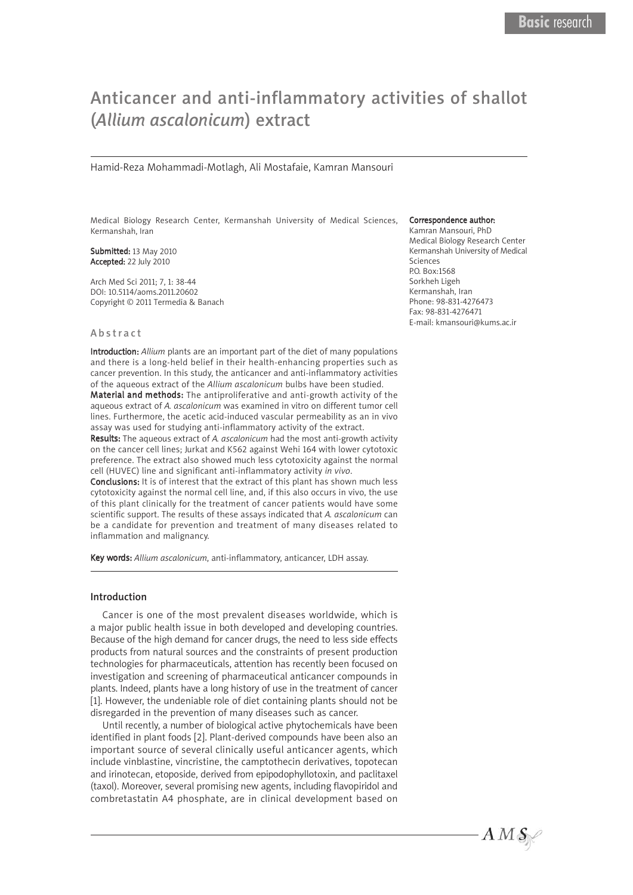# Anticancer and anti-inflammatory activities of shallot (*Allium ascalonicum*) extract

Hamid-Reza Mohammadi-Motlagh, Ali Mostafaie, Kamran Mansouri

Medical Biology Research Center, Kermanshah University of Medical Sciences, Kermanshah, Iran

Submitted: 13 May 2010 Accepted: 22 July 2010

Arch Med Sci 2011; 7, 1: 38-44 DOI: 10.5114/aoms.2011.20602 Copyright © 2011 Termedia & Banach

#### Correspondence author:

Kamran Mansouri, PhD Medical Biology Research Center Kermanshah University of Medical Sciences P.O. Box:1568 Sorkheh Ligeh Kermanshah, Iran Phone: 98-831-4276473 Fax: 98-831-4276471 E-mail: kmansouri@kums.ac.ir

#### **Abstract**

Introduction: *Allium* plants are an important part of the diet of many populations and there is a long-held belief in their health-enhancing properties such as cancer prevention. In this study, the anticancer and anti-inflammatory activities of the aqueous extract of the *Allium ascalonicum* bulbs have been studied.

Material and methods: The antiproliferative and anti-growth activity of the aqueous extract of *A. ascalonicum* was examined in vitro on different tumor cell lines. Furthermore, the acetic acid-induced vascular permeability as an in vivo assay was used for studying anti-inflammatory activity of the extract.

Results: The aqueous extract of *A. ascalonicum* had the most anti-growth activity on the cancer cell lines; Jurkat and K562 against Wehi 164 with lower cytotoxic preference. The extract also showed much less cytotoxicity against the normal cell (HUVEC) line and significant anti-inflammatory activity *in vivo*.

Conclusions: It is of interest that the extract of this plant has shown much less cytotoxicity against the normal cell line, and, if this also occurs in vivo, the use of this plant clinically for the treatment of cancer patients would have some scientific support. The results of these assays indicated that *A. ascalonicum* can be a candidate for prevention and treatment of many diseases related to inflammation and malignancy.

Key words: *Allium ascalonicum*, anti-inflammatory, anticancer, LDH assay.

#### Introduction

Cancer is one of the most prevalent diseases worldwide, which is a major public health issue in both developed and developing countries. Because of the high demand for cancer drugs, the need to less side effects products from natural sources and the constraints of present production technologies for pharmaceuticals, attention has recently been focused on investigation and screening of pharmaceutical anticancer compounds in plants. Indeed, plants have a long history of use in the treatment of cancer [1]. However, the undeniable role of diet containing plants should not be disregarded in the prevention of many diseases such as cancer.

Until recently, a number of biological active phytochemicals have been identified in plant foods [2]. Plant-derived compounds have been also an important source of several clinically useful anticancer agents, which include vinblastine, vincristine, the camptothecin derivatives, topotecan and irinotecan, etoposide, derived from epipodophyllotoxin, and paclitaxel (taxol). Moreover, several promising new agents, including flavopiridol and combretastatin A4 phosphate, are in clinical development based on

 $A\,M\,\mathcal{S}_\mathbb{K}$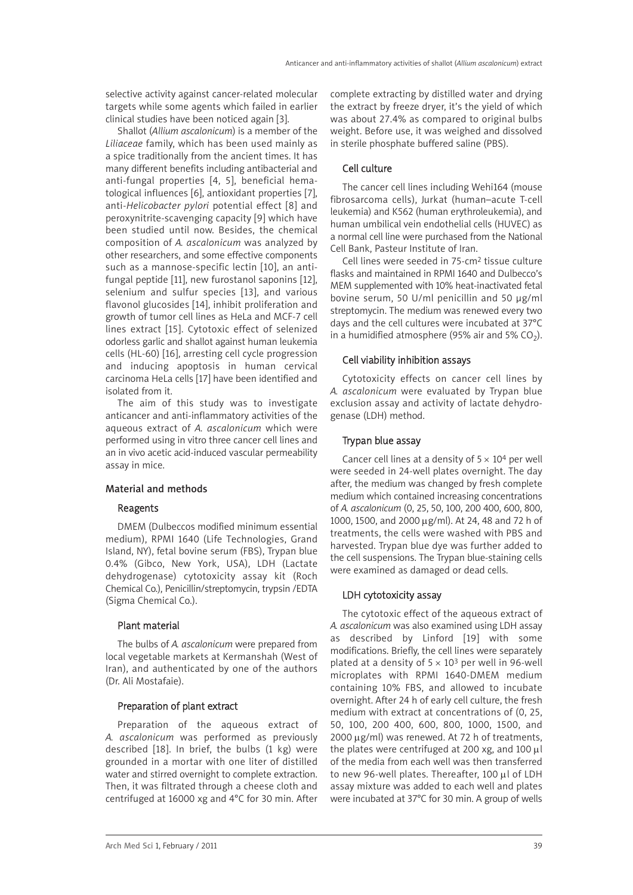selective activity against cancer-related molecular targets while some agents which failed in earlier clinical studies have been noticed again [3].

Shallot (*Allium ascalonicum*) is a member of the *Liliaceae* family, which has been used mainly as a spice traditionally from the ancient times. It has many different benefits including antibacterial and anti-fungal properties [4, 5], beneficial hematological influences [6], antioxidant properties [7], anti-*Helicobacter pylori* potential effect [8] and peroxynitrite-scavenging capacity [9] which have been studied until now. Besides, the chemical composition of *A. ascalonicum* was analyzed by other researchers, and some effective components such as a mannose-specific lectin [10], an antifungal peptide [11], new furostanol saponins [12], selenium and sulfur species [13], and various flavonol glucosides [14], inhibit proliferation and growth of tumor cell lines as HeLa and MCF-7 cell lines extract [15]. Cytotoxic effect of selenized odorless garlic and shallot against human leukemia cells (HL-60) [16], arresting cell cycle progression and inducing apoptosis in human cervical carcinoma HeLa cells [17] have been identified and isolated from it.

The aim of this study was to investigate anticancer and anti-inflammatory activities of the aqueous extract of *A. ascalonicum* which were performed using in vitro three cancer cell lines and an in vivo acetic acid-induced vascular permeability assay in mice.

## Material and methods

## Reagents

DMEM (Dulbeccos modified minimum essential medium), RPMI 1640 (Life Technologies, Grand Island, NY), fetal bovine serum (FBS), Trypan blue 0.4% (Gibco, New York, USA), LDH (Lactate dehydrogenase) cytotoxicity assay kit (Roch Chemical Co.), Penicillin/streptomycin, trypsin /EDTA (Sigma Chemical Co.).

## Plant material

The bulbs of *A. ascalonicum* were prepared from local vegetable markets at Kermanshah (West of Iran), and authenticated by one of the authors (Dr. Ali Mostafaie).

## Preparation of plant extract

Preparation of the aqueous extract of *A. ascalonicum* was performed as previously described [18]. In brief, the bulbs (1 kg) were grounded in a mortar with one liter of distilled water and stirred overnight to complete extraction. Then, it was filtrated through a cheese cloth and centrifuged at 16000 xg and 4°C for 30 min. After complete extracting by distilled water and drying the extract by freeze dryer, it's the yield of which was about 27.4% as compared to original bulbs weight. Before use, it was weighed and dissolved in sterile phosphate buffered saline (PBS).

# Cell culture

The cancer cell lines including Wehi164 (mouse fibrosarcoma cells), Jurkat (human–acute T-cell leukemia) and K562 (human erythroleukemia), and human umbilical vein endothelial cells (HUVEC) as a normal cell line were purchased from the National Cell Bank, Pasteur Institute of Iran.

Cell lines were seeded in 75-cm2 tissue culture flasks and maintained in RPMI 1640 and Dulbecco's MEM supplemented with 10% heat-inactivated fetal bovine serum, 50 U/ml penicillin and 50 µg/ml streptomycin. The medium was renewed every two days and the cell cultures were incubated at 37°C in a humidified atmosphere (95% air and 5%  $CO<sub>2</sub>$ ).

# Cell viability inhibition assays

Cytotoxicity effects on cancer cell lines by *A. ascalonicum* were evaluated by Trypan blue exclusion assay and activity of lactate dehydrogenase (LDH) method.

# Trypan blue assay

Cancer cell lines at a density of  $5 \times 10^4$  per well were seeded in 24-well plates overnight. The day after, the medium was changed by fresh complete medium which contained increasing concentrations of *A. ascalonicum* (0, 25, 50, 100, 200 400, 600, 800, 1000, 1500, and 2000 µg/ml). At 24, 48 and 72 h of treatments, the cells were washed with PBS and harvested. Trypan blue dye was further added to the cell suspensions. The Trypan blue-staining cells were examined as damaged or dead cells.

# LDH cytotoxicity assay

The cytotoxic effect of the aqueous extract of *A. ascalonicum* was also examined using LDH assay as described by Linford [19] with some modifications. Briefly, the cell lines were separately plated at a density of  $5 \times 10^3$  per well in 96-well microplates with RPMI 1640-DMEM medium containing 10% FBS, and allowed to incubate overnight. After 24 h of early cell culture, the fresh medium with extract at concentrations of (0, 25, 50, 100, 200 400, 600, 800, 1000, 1500, and 2000 µg/ml) was renewed. At 72 h of treatments, the plates were centrifuged at 200 xg, and 100 µl of the media from each well was then transferred to new 96-well plates. Thereafter, 100 µl of LDH assay mixture was added to each well and plates were incubated at 37°C for 30 min. A group of wells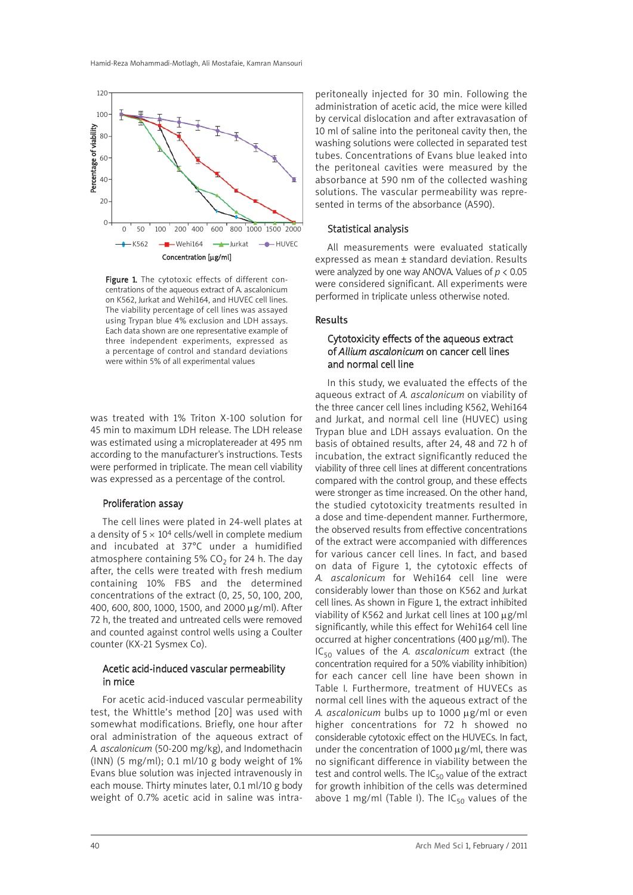

Figure 1. The cytotoxic effects of different concentrations of the aqueous extract of A. ascalonicum on K562, Jurkat and Wehi164, and HUVEC cell lines. The viability percentage of cell lines was assayed using Trypan blue 4% exclusion and LDH assays. Each data shown are one representative example of three independent experiments, expressed as a percentage of control and standard deviations were within 5% of all experimental values

was treated with 1% Triton X-100 solution for 45 min to maximum LDH release. The LDH release was estimated using a microplatereader at 495 nm according to the manufacturer's instructions. Tests were performed in triplicate. The mean cell viability was expressed as a percentage of the control.

## Proliferation assay

The cell lines were plated in 24-well plates at a density of  $5 \times 10^4$  cells/well in complete medium and incubated at 37°C under a humidified atmosphere containing 5%  $CO<sub>2</sub>$  for 24 h. The day after, the cells were treated with fresh medium containing 10% FBS and the determined concentrations of the extract (0, 25, 50, 100, 200, 400, 600, 800, 1000, 1500, and 2000 µg/ml). After 72 h, the treated and untreated cells were removed and counted against control wells using a Coulter counter (KX-21 Sysmex Co).

# Acetic acid-induced vascular permeability in mice

For acetic acid-induced vascular permeability test, the Whittle's method [20] was used with somewhat modifications. Briefly, one hour after oral administration of the aqueous extract of *A. ascalonicum* (50-200 mg/kg), and Indomethacin (INN) (5 mg/ml); 0.1 ml/10 g body weight of 1% Evans blue solution was injected intravenously in each mouse. Thirty minutes later, 0.1 ml/10 g body weight of 0.7% acetic acid in saline was intra-

peritoneally injected for 30 min. Following the administration of acetic acid, the mice were killed by cervical dislocation and after extravasation of 10 ml of saline into the peritoneal cavity then, the washing solutions were collected in separated test tubes. Concentrations of Evans blue leaked into the peritoneal cavities were measured by the absorbance at 590 nm of the collected washing solutions. The vascular permeability was represented in terms of the absorbance (A590).

# Statistical analysis

All measurements were evaluated statically expressed as mean ± standard deviation. Results were analyzed by one way ANOVA. Values of *p* < 0.05 were considered significant. All experiments were performed in triplicate unless otherwise noted.

# Results

# Cytotoxicity effects of the aqueous extract of *Allium ascalonicum* on cancer cell lines and normal cell line

In this study, we evaluated the effects of the aqueous extract of *A. ascalonicum* on viability of the three cancer cell lines including K562, Wehi164 and Jurkat, and normal cell line (HUVEC) using Trypan blue and LDH assays evaluation. On the basis of obtained results, after 24, 48 and 72 h of incubation, the extract significantly reduced the viability of three cell lines at different concentrations compared with the control group, and these effects were stronger as time increased. On the other hand, the studied cytotoxicity treatments resulted in a dose and time-dependent manner. Furthermore, the observed results from effective concentrations of the extract were accompanied with differences for various cancer cell lines. In fact, and based on data of Figure 1, the cytotoxic effects of *A. ascalonicum* for Wehi164 cell line were considerably lower than those on K562 and Jurkat cell lines. As shown in Figure 1, the extract inhibited viability of K562 and Jurkat cell lines at 100 µg/ml significantly, while this effect for Wehi164 cell line occurred at higher concentrations (400  $\mu$ g/ml). The IC50 values of the *A. ascalonicum* extract (the concentration required for a 50% viability inhibition) for each cancer cell line have been shown in Table I. Furthermore, treatment of HUVECs as normal cell lines with the aqueous extract of the *A. ascalonicum* bulbs up to 1000 µg/ml or even higher concentrations for 72 h showed no considerable cytotoxic effect on the HUVECs. In fact, under the concentration of 1000  $\mu$ g/ml, there was no significant difference in viability between the test and control wells. The  $IC_{50}$  value of the extract for growth inhibition of the cells was determined above 1 mg/ml (Table I). The  $IC_{50}$  values of the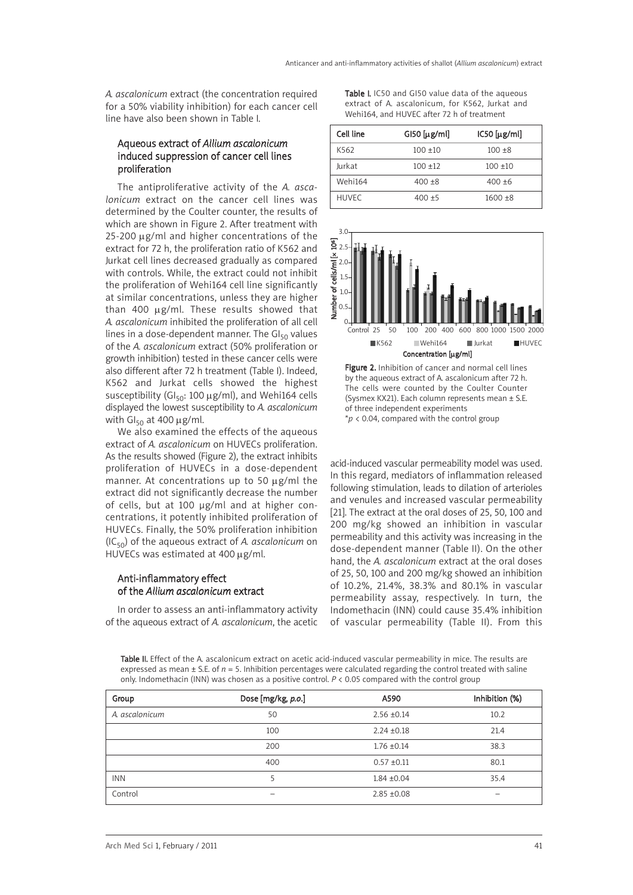*A. ascalonicum* extract (the concentration required for a 50% viability inhibition) for each cancer cell line have also been shown in Table I.

# Aqueous extract of *Allium ascalonicum*  induced suppression of cancer cell lines proliferation

The antiproliferative activity of the *A. ascalonicum* extract on the cancer cell lines was determined by the Coulter counter, the results of which are shown in Figure 2. After treatment with 25-200 µg/ml and higher concentrations of the extract for 72 h, the proliferation ratio of K562 and Jurkat cell lines decreased gradually as compared with controls. While, the extract could not inhibit the proliferation of Wehi164 cell line significantly at similar concentrations, unless they are higher than 400 µg/ml. These results showed that *A. ascalonicum* inhibited the proliferation of all cell lines in a dose-dependent manner. The  $GI_{50}$  values of the *A. ascalonicum* extract (50% proliferation or growth inhibition) tested in these cancer cells were also different after 72 h treatment (Table I). Indeed, K562 and Jurkat cells showed the highest susceptibility ( $GI_{50}$ : 100  $\mu$ g/ml), and Wehi164 cells displayed the lowest susceptibility to *A. ascalonicum* with  $GI_{50}$  at 400  $\mu$ g/ml.

We also examined the effects of the aqueous extract of *A. ascalonicum* on HUVECs proliferation. As the results showed (Figure 2), the extract inhibits proliferation of HUVECs in a dose-dependent manner. At concentrations up to 50  $\mu$ g/ml the extract did not significantly decrease the number of cells, but at 100 µg/ml and at higher concentrations, it potently inhibited proliferation of HUVECs. Finally, the 50% proliferation inhibition (IC50) of the aqueous extract of *A. ascalonicum* on HUVECs was estimated at 400 µg/ml.

# Anti-inflammatory effect of the *Allium ascalonicum* extract

In order to assess an anti-inflammatory activity of the aqueous extract of *A. ascalonicum*, the acetic

Table I. IC50 and GI50 value data of the aqueous extract of A. ascalonicum, for K562, Jurkat and Wehi164, and HUVEC after 72 h of treatment

| Cell line    | $GIO$ [µg/ml] | $IC50$ [ $\mu$ g/ml] |  |
|--------------|---------------|----------------------|--|
| K562         | $100 + 10$    | $100 + 8$            |  |
| Jurkat       | $100 + 12$    | $100 + 10$           |  |
| Wehi164      | $400 + 8$     | $400 + 6$            |  |
| <b>HUVEC</b> | $400 + 5$     | $1600 + 8$           |  |



Figure 2. Inhibition of cancer and normal cell lines by the aqueous extract of A. ascalonicum after 72 h. The cells were counted by the Coulter Counter (Sysmex KX21). Each column represents mean ± S.E. of three independent experiments \**p* < 0.04, compared with the control group

acid-induced vascular permeability model was used. In this regard, mediators of inflammation released following stimulation, leads to dilation of arterioles and venules and increased vascular permeability [21]. The extract at the oral doses of 25, 50, 100 and 200 mg/kg showed an inhibition in vascular permeability and this activity was increasing in the dose-dependent manner (Table II). On the other hand, the *A. ascalonicum* extract at the oral doses of 25, 50, 100 and 200 mg/kg showed an inhibition of 10.2%, 21.4%, 38.3% and 80.1% in vascular permeability assay, respectively. In turn, the Indomethacin (INN) could cause 35.4% inhibition of vascular permeability (Table II). From this

Table II. Effect of the A. ascalonicum extract on acetic acid-induced vascular permeability in mice. The results are expressed as mean ± S.E. of *n* = 5. Inhibition percentages were calculated regarding the control treated with saline only. Indomethacin (INN) was chosen as a positive control. *P* < 0.05 compared with the control group

| Group          | Dose [mg/kg, p.o.] | A590            | Inhibition (%) |
|----------------|--------------------|-----------------|----------------|
| A. ascalonicum | 50                 | $2.56 + 0.14$   | 10.2           |
|                | 100                | $2.24 \pm 0.18$ | 21.4           |
|                | 200                | $1.76 \pm 0.14$ | 38.3           |
|                | 400                | $0.57 + 0.11$   | 80.1           |
| <b>INN</b>     | 5                  | $1.84 \pm 0.04$ | 35.4           |
| Control        |                    | $2.85 + 0.08$   |                |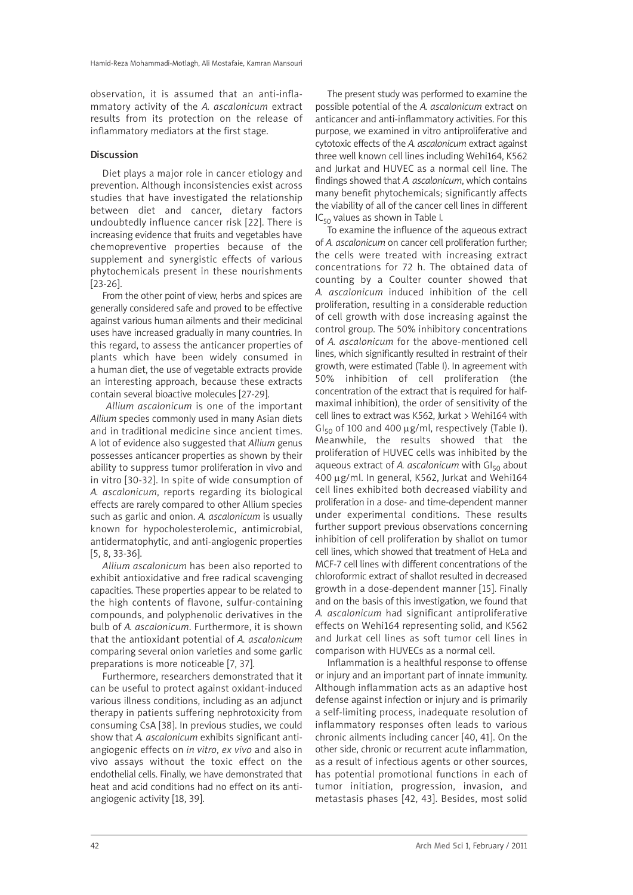observation, it is assumed that an anti-inflammatory activity of the *A. ascalonicum* extract results from its protection on the release of inflammatory mediators at the first stage.

#### **Discussion**

Diet plays a major role in cancer etiology and prevention. Although inconsistencies exist across studies that have investigated the relationship between diet and cancer, dietary factors undoubtedly influence cancer risk [22]. There is increasing evidence that fruits and vegetables have chemopreventive properties because of the supplement and synergistic effects of various phytochemicals present in these nourishments [23-26].

From the other point of view, herbs and spices are generally considered safe and proved to be effective against various human ailments and their medicinal uses have increased gradually in many countries. In this regard, to assess the anticancer properties of plants which have been widely consumed in a human diet, the use of vegetable extracts provide an interesting approach, because these extracts contain several bioactive molecules [27-29].

*Allium ascalonicum* is one of the important *Allium* species commonly used in many Asian diets and in traditional medicine since ancient times. A lot of evidence also suggested that *Allium* genus possesses anticancer properties as shown by their ability to suppress tumor proliferation in vivo and in vitro [30-32]. In spite of wide consumption of *A. ascalonicum*, reports regarding its biological effects are rarely compared to other Allium species such as garlic and onion. *A. ascalonicum* is usually known for hypocholesterolemic, antimicrobial, antidermatophytic, and anti-angiogenic properties [5, 8, 33-36].

*Allium ascalonicum* has been also reported to exhibit antioxidative and free radical scavenging capacities. These properties appear to be related to the high contents of flavone, sulfur-containing compounds, and polyphenolic derivatives in the bulb of *A. ascalonicum*. Furthermore, it is shown that the antioxidant potential of *A. ascalonicum* comparing several onion varieties and some garlic preparations is more noticeable [7, 37].

Furthermore, researchers demonstrated that it can be useful to protect against oxidant-induced various illness conditions, including as an adjunct therapy in patients suffering nephrotoxicity from consuming CsA [38]. In previous studies, we could show that *A. ascalonicum* exhibits significant antiangiogenic effects on *in vitro*, *ex vivo* and also in vivo assays without the toxic effect on the endothelial cells. Finally, we have demonstrated that heat and acid conditions had no effect on its antiangiogenic activity [18, 39].

The present study was performed to examine the possible potential of the *A. ascalonicum* extract on anticancer and anti-inflammatory activities. For this purpose, we examined in vitro antiproliferative and cytotoxic effects of the *A. ascalonicum* extract against three well known cell lines including Wehi164, K562 and Jurkat and HUVEC as a normal cell line. The findings showed that *A. ascalonicum*, which contains many benefit phytochemicals; significantly affects the viability of all of the cancer cell lines in different  $IC_{50}$  values as shown in Table I.

To examine the influence of the aqueous extract of *A. ascalonicum* on cancer cell proliferation further; the cells were treated with increasing extract concentrations for 72 h. The obtained data of counting by a Coulter counter showed that *A. ascalonicum* induced inhibition of the cell proliferation, resulting in a considerable reduction of cell growth with dose increasing against the control group. The 50% inhibitory concentrations of *A. ascalonicum* for the above-mentioned cell lines, which significantly resulted in restraint of their growth, were estimated (Table I). In agreement with 50% inhibition of cell proliferation (the concentration of the extract that is required for halfmaximal inhibition), the order of sensitivity of the cell lines to extract was K562, Jurkat > Wehi164 with  $GI_{50}$  of 100 and 400  $\mu$ g/ml, respectively (Table I). Meanwhile, the results showed that the proliferation of HUVEC cells was inhibited by the aqueous extract of A. *ascalonicum* with GI<sub>50</sub> about 400 µg/ml. In general, K562, Jurkat and Wehi164 cell lines exhibited both decreased viability and proliferation in a dose- and time-dependent manner under experimental conditions. These results further support previous observations concerning inhibition of cell proliferation by shallot on tumor cell lines, which showed that treatment of HeLa and MCF-7 cell lines with different concentrations of the chloroformic extract of shallot resulted in decreased growth in a dose-dependent manner [15]. Finally and on the basis of this investigation, we found that *A. ascalonicum* had significant antiproliferative effects on Wehi164 representing solid, and K562 and Jurkat cell lines as soft tumor cell lines in comparison with HUVECs as a normal cell.

Inflammation is a healthful response to offense or injury and an important part of innate immunity. Although inflammation acts as an adaptive host defense against infection or injury and is primarily a self-limiting process, inadequate resolution of inflammatory responses often leads to various chronic ailments including cancer [40, 41]. On the other side, chronic or recurrent acute inflammation, as a result of infectious agents or other sources, has potential promotional functions in each of tumor initiation, progression, invasion, and metastasis phases [42, 43]. Besides, most solid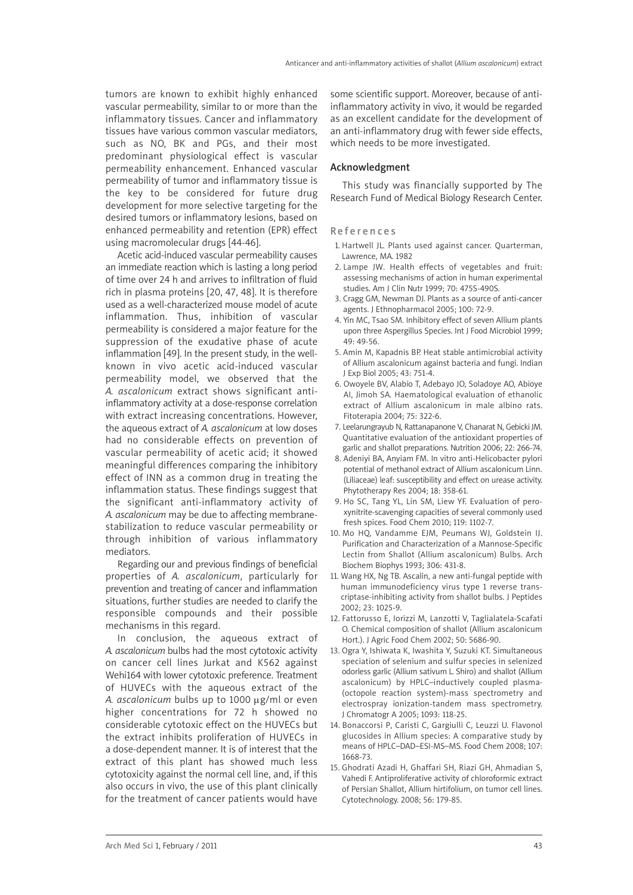tumors are known to exhibit highly enhanced vascular permeability, similar to or more than the inflammatory tissues. Cancer and inflammatory tissues have various common vascular mediators, such as NO, BK and PGs, and their most predominant physiological effect is vascular permeability enhancement. Enhanced vascular permeability of tumor and inflammatory tissue is the key to be considered for future drug development for more selective targeting for the desired tumors or inflammatory lesions, based on enhanced permeability and retention (EPR) effect using macromolecular drugs [44-46].

Acetic acid-induced vascular permeability causes an immediate reaction which is lasting a long period of time over 24 h and arrives to infiltration of fluid rich in plasma proteins [20, 47, 48]. It is therefore used as a well-characterized mouse model of acute inflammation. Thus, inhibition of vascular permeability is considered a major feature for the suppression of the exudative phase of acute inflammation [49]. In the present study, in the wellknown in vivo acetic acid-induced vascular permeability model, we observed that the *A. ascalonicum* extract shows significant antiinflammatory activity at a dose-response correlation with extract increasing concentrations. However, the aqueous extract of *A. ascalonicum* at low doses had no considerable effects on prevention of vascular permeability of acetic acid; it showed meaningful differences comparing the inhibitory effect of INN as a common drug in treating the inflammation status. These findings suggest that the significant anti-inflammatory activity of *A. ascalonicum* may be due to affecting membranestabilization to reduce vascular permeability or through inhibition of various inflammatory mediators.

Regarding our and previous findings of beneficial properties of *A. ascalonicum*, particularly for prevention and treating of cancer and inflammation situations, further studies are needed to clarify the responsible compounds and their possible mechanisms in this regard.

In conclusion, the aqueous extract of *A. ascalonicum* bulbs had the most cytotoxic activity on cancer cell lines Jurkat and K562 against Wehi164 with lower cytotoxic preference. Treatment of HUVECs with the aqueous extract of the *A. ascalonicum* bulbs up to 1000 µg/ml or even higher concentrations for 72 h showed no considerable cytotoxic effect on the HUVECs but the extract inhibits proliferation of HUVECs in a dose-dependent manner. It is of interest that the extract of this plant has showed much less cytotoxicity against the normal cell line, and, if this also occurs in vivo, the use of this plant clinically for the treatment of cancer patients would have

some scientific support. Moreover, because of antiinflammatory activity in vivo, it would be regarded as an excellent candidate for the development of an anti-inflammatory drug with fewer side effects, which needs to be more investigated.

#### Acknowledgment

This study was financially supported by The Research Fund of Medical Biology Research Center.

#### **References**

- 1. Hartwell JL. Plants used against cancer. Quarterman, Lawrence, MA. 1982
- 2. Lampe JW. Health effects of vegetables and fruit: assessing mechanisms of action in human experimental studies. Am J Clin Nutr 1999; 70: 475S-490S.
- 3. Cragg GM, Newman DJ. Plants as a source of anti-cancer agents. J Ethnopharmacol 2005; 100: 72-9.
- 4. Yin MC, Tsao SM. Inhibitory effect of seven Allium plants upon three Aspergillus Species. Int J Food Microbiol 1999;  $49.49-56$
- 5. Amin M, Kapadnis BP. Heat stable antimicrobial activity of Allium ascalonicum against bacteria and fungi. Indian J Exp Biol 2005; 43: 751-4.
- 6. Owoyele BV, Alabio T, Adebayo JO, Soladoye AO, Abioye AI, Jimoh SA. Haematological evaluation of ethanolic extract of Allium ascalonicum in male albino rats. Fitoterapia 2004; 75: 322-6.
- 7. Leelarungrayub N, Rattanapanone V, Chanarat N, Gebicki JM. Quantitative evaluation of the antioxidant properties of garlic and shallot preparations. Nutrition 2006; 22: 266-74.
- 8. Adeniyi BA, Anyiam FM. In vitro anti-Helicobacter pylori potential of methanol extract of Allium ascalonicum Linn. (Liliaceae) leaf: susceptibility and effect on urease activity. Phytotherapy Res 2004; 18: 358-61.
- 9. Ho SC, Tang YL, Lin SM, Liew YF. Evaluation of peroxynitrite-scavenging capacities of several commonly used fresh spices. Food Chem 2010; 119: 1102-7.
- 10. Mo HQ, Vandamme EJM, Peumans WJ, Goldstein IJ. Purification and Characterization of a Mannose-Specific Lectin from Shallot (Allium ascalonicum) Bulbs. Arch Biochem Biophys 1993; 306: 431-8.
- 11. Wang HX, Ng TB. Ascalin, a new anti-fungal peptide with human immunodeficiency virus type 1 reverse transcriptase-inhibiting activity from shallot bulbs. J Peptides 2002; 23: 1025-9.
- 12. Fattorusso E, Iorizzi M, Lanzotti V, Taglialatela-Scafati O. Chemical composition of shallot (Allium ascalonicum Hort.). J Agric Food Chem 2002; 50: 5686-90.
- 13. Ogra Y, Ishiwata K, Iwashita Y, Suzuki KT. Simultaneous speciation of selenium and sulfur species in selenized odorless garlic (Allium sativum L. Shiro) and shallot (Allium ascalonicum) by HPLC–inductively coupled plasma- (octopole reaction system)-mass spectrometry and electrospray ionization-tandem mass spectrometry. J Chromatogr A 2005; 1093: 118-25.
- 14. Bonaccorsi P, Caristi C, Gargiulli C, Leuzzi U. Flavonol glucosides in Allium species: A comparative study by means of HPLC–DAD–ESI-MS–MS. Food Chem 2008; 107: 1668-73.
- 15. Ghodrati Azadi H, Ghaffari SH, Riazi GH, Ahmadian S, Vahedi F. Antiproliferative activity of chloroformic extract of Persian Shallot, Allium hirtifolium, on tumor cell lines. Cytotechnology. 2008; 56: 179-85.